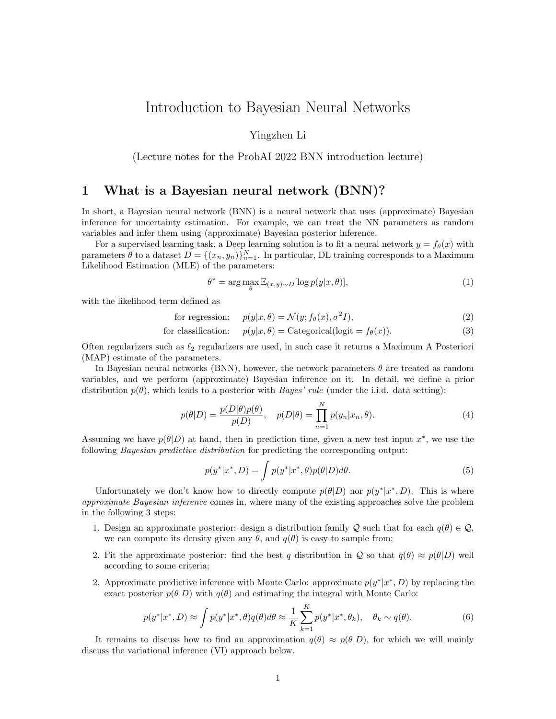# Introduction to Bayesian Neural Networks

Yingzhen Li

(Lecture notes for the ProbAI 2022 BNN introduction lecture)

## 1 What is a Bayesian neural network (BNN)?

In short, a Bayesian neural network (BNN) is a neural network that uses (approximate) Bayesian inference for uncertainty estimation. For example, we can treat the NN parameters as random variables and infer them using (approximate) Bayesian posterior inference.

For a supervised learning task, a Deep learning solution is to fit a neural network  $y = f_{\theta}(x)$  with parameters  $\theta$  to a dataset  $D = \{(x_n, y_n)\}_{n=1}^N$ . In particular, DL training corresponds to a Maximum Likelihood Estimation (MLE) of the parameters:

$$
\theta^* = \arg\max_{\theta} \mathbb{E}_{(x,y)\sim D}[\log p(y|x,\theta)],\tag{1}
$$

with the likelihood term defined as

for regression:  $p(y|x, \theta) = \mathcal{N}(y; f_{\theta}(x), \sigma^2 I),$  $I),$  (2)

for classification: 
$$
p(y|x, \theta) = \text{Categorical}(\text{logit} = f_{\theta}(x)).
$$
 (3)

Often regularizers such as  $\ell_2$  regularizers are used, in such case it returns a Maximum A Posteriori (MAP) estimate of the parameters.

In Bayesian neural networks (BNN), however, the network parameters  $\theta$  are treated as random variables, and we perform (approximate) Bayesian inference on it. In detail, we define a prior distribution  $p(\theta)$ , which leads to a posterior with *Bayes' rule* (under the i.i.d. data setting):

$$
p(\theta|D) = \frac{p(D|\theta)p(\theta)}{p(D)}, \quad p(D|\theta) = \prod_{n=1}^{N} p(y_n|x_n, \theta).
$$
\n(4)

Assuming we have  $p(\theta|D)$  at hand, then in prediction time, given a new test input  $x^*$ , we use the following *Bayesian predictive distribution* for predicting the corresponding output:

$$
p(y^*|x^*, D) = \int p(y^*|x^*, \theta)p(\theta|D)d\theta.
$$
\n(5)

Unfortunately we don't know how to directly compute  $p(\theta|D)$  nor  $p(y^*|x^*, D)$ . This is where approximate Bayesian inference comes in, where many of the existing approaches solve the problem in the following 3 steps:

- 1. Design an approximate posterior: design a distribution family Q such that for each  $q(\theta) \in \mathcal{Q}$ , we can compute its density given any  $\theta$ , and  $q(\theta)$  is easy to sample from;
- 2. Fit the approximate posterior: find the best q distribution in Q so that  $q(\theta) \approx p(\theta|D)$  well according to some criteria;
- 2. Approximate predictive inference with Monte Carlo: approximate  $p(y^*|x^*, D)$  by replacing the exact posterior  $p(\theta|D)$  with  $q(\theta)$  and estimating the integral with Monte Carlo:

$$
p(y^*|x^*,D) \approx \int p(y^*|x^*,\theta)q(\theta)d\theta \approx \frac{1}{K}\sum_{k=1}^K p(y^*|x^*,\theta_k), \quad \theta_k \sim q(\theta). \tag{6}
$$

It remains to discuss how to find an approximation  $q(\theta) \approx p(\theta|D)$ , for which we will mainly discuss the variational inference (VI) approach below.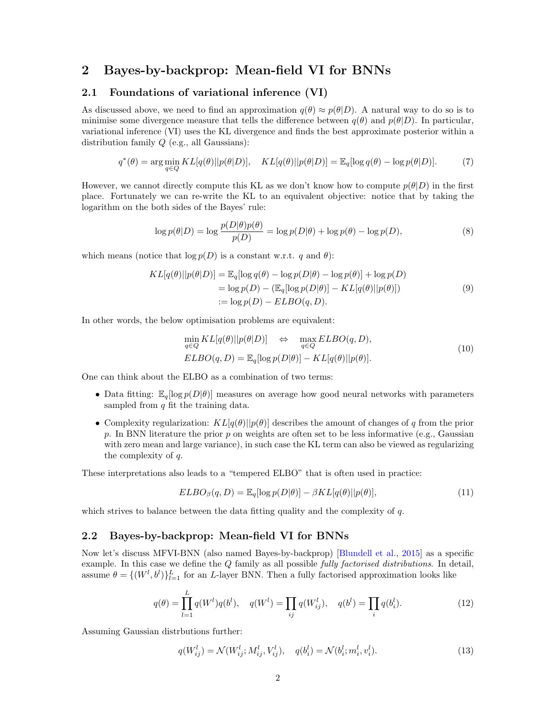## 2 Bayes-by-backprop: Mean-field VI for BNNs

### 2.1 Foundations of variational inference (VI)

As discussed above, we need to find an approximation  $q(\theta) \approx p(\theta|D)$ . A natural way to do so is to minimise some divergence measure that tells the difference between  $q(\theta)$  and  $p(\theta|D)$ . In particular, variational inference (VI) uses the KL divergence and finds the best approximate posterior within a distribution family  $Q$  (e.g., all Gaussians):

$$
q^*(\theta) = \arg\min_{q \in Q} KL[q(\theta)||p(\theta|D)], \quad KL[q(\theta)||p(\theta|D)] = \mathbb{E}_q[\log q(\theta) - \log p(\theta|D)]. \tag{7}
$$

However, we cannot directly compute this KL as we don't know how to compute  $p(\theta|D)$  in the first place. Fortunately we can re-write the KL to an equivalent objective: notice that by taking the logarithm on the both sides of the Bayes' rule:

$$
\log p(\theta|D) = \log \frac{p(D|\theta)p(\theta)}{p(D)} = \log p(D|\theta) + \log p(\theta) - \log p(D),\tag{8}
$$

which means (notice that  $\log p(D)$  is a constant w.r.t. q and  $\theta$ ):

$$
KL[q(\theta)||p(\theta|D)] = \mathbb{E}_q[\log q(\theta) - \log p(D|\theta) - \log p(\theta)] + \log p(D)
$$
  
=  $\log p(D) - (\mathbb{E}_q[\log p(D|\theta)] - KL[q(\theta)||p(\theta)])$   
:=  $\log p(D) - ELBO(q, D).$  (9)

In other words, the below optimisation problems are equivalent:

$$
\min_{q \in Q} KL[q(\theta)||p(\theta|D)] \quad \Leftrightarrow \quad \max_{q \in Q} ELBO(q, D),
$$
\n
$$
ELBO(q, D) = \mathbb{E}_{q}[\log p(D|\theta)] - KL[q(\theta)||p(\theta)].
$$
\n(10)

One can think about the ELBO as a combination of two terms:

- Data fitting:  $\mathbb{E}_q[\log p(D|\theta)]$  measures on average how good neural networks with parameters sampled from  $q$  fit the training data.
- Complexity regularization:  $KL[q(\theta)||p(\theta)]$  describes the amount of changes of q from the prior p. In BNN literature the prior  $p$  on weights are often set to be less informative (e.g., Gaussian with zero mean and large variance), in such case the KL term can also be viewed as regularizing the complexity of q.

These interpretations also leads to a "tempered ELBO" that is often used in practice:

$$
ELBO_{\beta}(q, D) = \mathbb{E}_{q}[\log p(D|\theta)] - \beta KL[q(\theta)||p(\theta)],
$$
\n(11)

which strives to balance between the data fitting quality and the complexity of  $q$ .

#### 2.2 Bayes-by-backprop: Mean-field VI for BNNs

Now let's discuss MFVI-BNN (also named Bayes-by-backprop) [\[Blundell et al.,](#page-8-0) [2015\]](#page-8-0) as a specific example. In this case we define the  $Q$  family as all possible *fully factorised distributions*. In detail, assume  $\theta = \{(W^l, b^l)\}_{l=1}^L$  for an L-layer BNN. Then a fully factorised approximation looks like

$$
q(\theta) = \prod_{l=1}^{L} q(W^l)q(b^l), \quad q(W^l) = \prod_{ij} q(W^l_{ij}), \quad q(b^l) = \prod_i q(b^l_i).
$$
 (12)

Assuming Gaussian distrbutions further:

$$
q(W_{ij}^l) = \mathcal{N}(W_{ij}^l; M_{ij}^l, V_{ij}^l), \quad q(b_i^l) = \mathcal{N}(b_i^l; m_i^l, v_i^l).
$$
\n(13)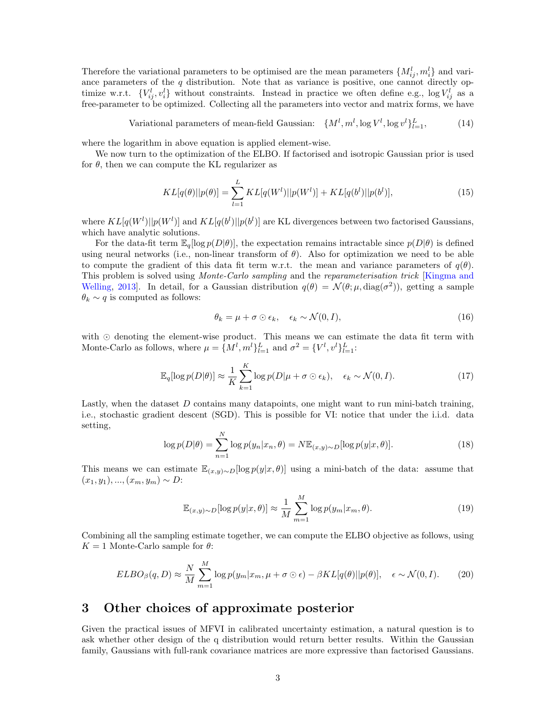Therefore the variational parameters to be optimised are the mean parameters  $\{M_{ij}^l, m_i^l\}$  and variance parameters of the  $q$  distribution. Note that as variance is positive, one cannot directly optimize w.r.t.  $\{V_{ij}^l, v_i^l\}$  without constraints. Instead in practice we often define e.g., log  $V_{ij}^l$  as a free-parameter to be optimized. Collecting all the parameters into vector and matrix forms, we have

Variational parameters of mean-field Gaussian:  $\{M^l, m^l, \log V^l, \log v^l\}_{l=1}^L$ , (14)

where the logarithm in above equation is applied element-wise.

We now turn to the optimization of the ELBO. If factorised and isotropic Gaussian prior is used for  $\theta$ , then we can compute the KL regularizer as

$$
KL[q(\theta)||p(\theta)] = \sum_{l=1}^{L} KL[q(W^l)||p(W^l)] + KL[q(b^l)||p(b^l)],
$$
\n(15)

where  $KL[q(W^l)||p(W^l)]$  and  $KL[q(b^l)||p(b^l)]$  are KL divergences between two factorised Gaussians, which have analytic solutions.

For the data-fit term  $\mathbb{E}_q[log p(D|\theta)],$  the expectation remains intractable since  $p(D|\theta)$  is defined using neural networks (i.e., non-linear transform of  $\theta$ ). Also for optimization we need to be able to compute the gradient of this data fit term w.r.t. the mean and variance parameters of  $q(\theta)$ . This problem is solved using *Monte-Carlo sampling* and the *reparameterisation trick* [\[Kingma and](#page-8-1) [Welling,](#page-8-1) 2013. In detail, for a Gaussian distribution  $q(\theta) = \mathcal{N}(\theta; \mu, \text{diag}(\sigma^2))$ , getting a sample  $\theta_k \sim q$  is computed as follows:

$$
\theta_k = \mu + \sigma \odot \epsilon_k, \quad \epsilon_k \sim \mathcal{N}(0, I), \tag{16}
$$

with ⊙ denoting the element-wise product. This means we can estimate the data fit term with Monte-Carlo as follows, where  $\mu = \{M^l, m^l\}_{l=1}^L$  and  $\sigma^2 = \{V^l, v^l\}_{l=1}^L$ :

$$
\mathbb{E}_q[\log p(D|\theta)] \approx \frac{1}{K} \sum_{k=1}^K \log p(D|\mu + \sigma \odot \epsilon_k), \quad \epsilon_k \sim \mathcal{N}(0, I). \tag{17}
$$

Lastly, when the dataset  $D$  contains many datapoints, one might want to run mini-batch training, i.e., stochastic gradient descent (SGD). This is possible for VI: notice that under the i.i.d. data setting,

$$
\log p(D|\theta) = \sum_{n=1}^{N} \log p(y_n | x_n, \theta) = N \mathbb{E}_{(x,y) \sim D} [\log p(y | x, \theta)].
$$
\n(18)

This means we can estimate  $\mathbb{E}_{(x,y)\sim D}[\log p(y|x,\theta)]$  using a mini-batch of the data: assume that  $(x_1, y_1), ..., (x_m, y_m) \sim D$ :

$$
\mathbb{E}_{(x,y)\sim D}[\log p(y|x,\theta)] \approx \frac{1}{M} \sum_{m=1}^{M} \log p(y_m|x_m,\theta). \tag{19}
$$

Combining all the sampling estimate together, we can compute the ELBO objective as follows, using  $K = 1$  Monte-Carlo sample for  $\theta$ :

$$
ELBO_{\beta}(q, D) \approx \frac{N}{M} \sum_{m=1}^{M} \log p(y_m | x_m, \mu + \sigma \odot \epsilon) - \beta KL[q(\theta) || p(\theta)], \quad \epsilon \sim \mathcal{N}(0, I). \tag{20}
$$

## 3 Other choices of approximate posterior

Given the practical issues of MFVI in calibrated uncertainty estimation, a natural question is to ask whether other design of the q distribution would return better results. Within the Gaussian family, Gaussians with full-rank covariance matrices are more expressive than factorised Gaussians.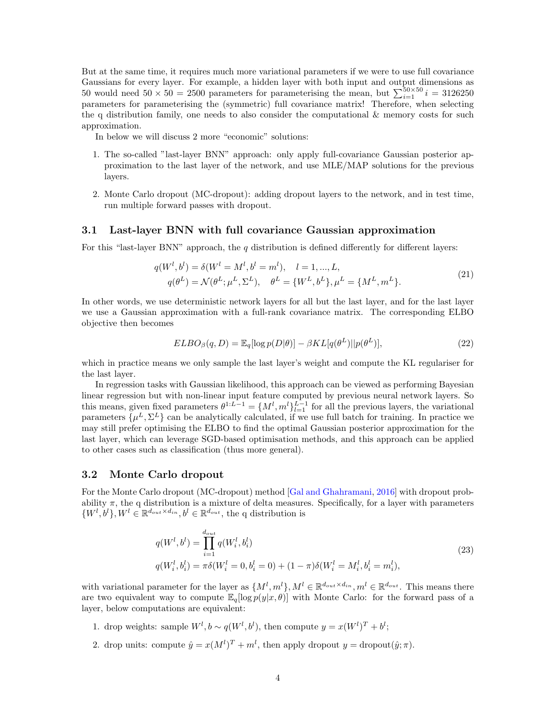But at the same time, it requires much more variational parameters if we were to use full covariance Gaussians for every layer. For example, a hidden layer with both input and output dimensions as 50 would need  $50 \times 50 = 2500$  parameters for parameterising the mean, but  $\sum_{i=1}^{50\times 50} i = 3126250$ parameters for parameterising the (symmetric) full covariance matrix! Therefore, when selecting the q distribution family, one needs to also consider the computational  $\&$  memory costs for such approximation.

In below we will discuss 2 more "economic" solutions:

- 1. The so-called "last-layer BNN" approach: only apply full-covariance Gaussian posterior approximation to the last layer of the network, and use MLE/MAP solutions for the previous layers.
- 2. Monte Carlo dropout (MC-dropout): adding dropout layers to the network, and in test time, run multiple forward passes with dropout.

### 3.1 Last-layer BNN with full covariance Gaussian approximation

For this "last-layer BNN" approach, the  $q$  distribution is defined differently for different layers:

$$
q(W^l, b^l) = \delta(W^l = M^l, b^l = m^l), \quad l = 1, ..., L,
$$
  
\n
$$
q(\theta^L) = \mathcal{N}(\theta^L; \mu^L, \Sigma^L), \quad \theta^L = \{W^L, b^L\}, \mu^L = \{M^L, m^L\}.
$$
\n(21)

In other words, we use deterministic network layers for all but the last layer, and for the last layer we use a Gaussian approximation with a full-rank covariance matrix. The corresponding ELBO objective then becomes

$$
ELBO_{\beta}(q, D) = \mathbb{E}_{q}[\log p(D|\theta)] - \beta KL[q(\theta^{L})||p(\theta^{L})],
$$
\n(22)

which in practice means we only sample the last layer's weight and compute the KL regulariser for the last layer.

In regression tasks with Gaussian likelihood, this approach can be viewed as performing Bayesian linear regression but with non-linear input feature computed by previous neural network layers. So this means, given fixed parameters  $\theta^{1:L-1} = \{M^l, m^l\}_{l=1}^{L-1}$  for all the previous layers, the variational parameters  $\{\mu^L, \Sigma^L\}$  can be analytically calculated, if we use full batch for training. In practice we may still prefer optimising the ELBO to find the optimal Gaussian posterior approximation for the last layer, which can leverage SGD-based optimisation methods, and this approach can be applied to other cases such as classification (thus more general).

### 3.2 Monte Carlo dropout

For the Monte Carlo dropout (MC-dropout) method [\[Gal and Ghahramani,](#page-8-2) [2016\]](#page-8-2) with dropout probability  $\pi$ , the q distribution is a mixture of delta measures. Specifically, for a layer with parameters  $\{W^l, b^l\}, W^l \in \mathbb{R}^{d_{out} \times d_{in}}, b^l \in \mathbb{R}^{d_{out}},$  the q distribution is

$$
q(W^l, b^l) = \prod_{i=1}^{d_{out}} q(W_i^l, b_i^l)
$$
  
\n
$$
q(W_i^l, b_i^l) = \pi \delta(W_i^l = 0, b_i^l = 0) + (1 - \pi) \delta(W_i^l = M_i^l, b_i^l = m_i^l),
$$
\n(23)

with variational parameter for the layer as  $\{M^l, m^l\}, M^l \in \mathbb{R}^{d_{out} \times d_{in}}, m^l \in \mathbb{R}^{d_{out}}$ . This means there are two equivalent way to compute  $\mathbb{E}_q[\log p(y|x, \theta)]$  with Monte Carlo: for the forward pass of a layer, below computations are equivalent:

- 1. drop weights: sample  $W^l, b \sim q(W^l, b^l)$ , then compute  $y = x(W^l)^T + b^l$ ;
- 2. drop units: compute  $\hat{y} = x(M^l)^T + m^l$ , then apply dropout  $y =$  dropout $(\hat{y}; \pi)$ .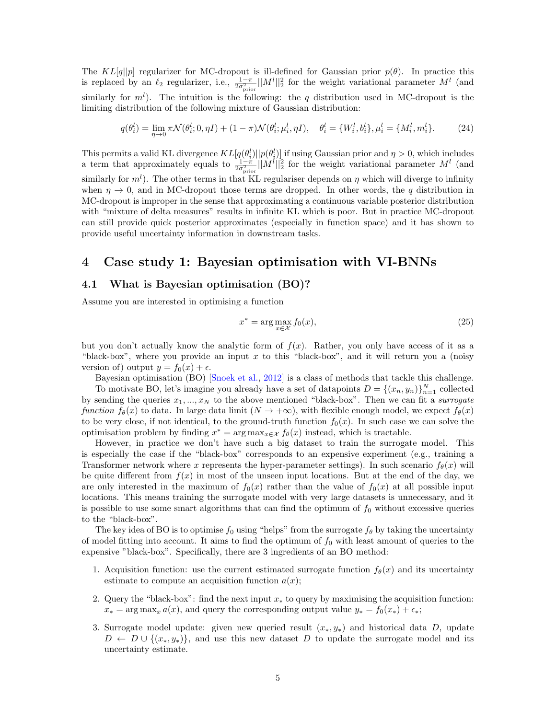The KL[q||p] regularizer for MC-dropout is ill-defined for Gaussian prior  $p(\theta)$ . In practice this is replaced by an  $\ell_2$  regularizer, i.e.,  $\frac{1-\pi}{2\sigma_{\text{prior}}^2} ||M^l||_2^2$  for the weight variational parameter  $M^l$  (and similarly for  $m^l$ ). The intuition is the following: the q distribution used in MC-dropout is the limiting distribution of the following mixture of Gaussian distribution:

$$
q(\theta_i^l) = \lim_{\eta \to 0} \pi \mathcal{N}(\theta_i^l; 0, \eta I) + (1 - \pi) \mathcal{N}(\theta_i^l; \mu_i^l, \eta I), \quad \theta_i^l = \{W_i^l, b_i^l\}, \mu_i^l = \{M_i^l, m_i^l\}.
$$
 (24)

This permits a valid KL divergence  $KL[q(\theta_i^l)||p(\theta_i^l)]$  if using Gaussian prior and  $\eta > 0$ , which includes a term that approximately equals to  $\frac{1-\pi}{2\sigma_{\text{prior}}^2} ||M^l||_2^2$  for the weight variational parameter  $M^l$  (and similarly for  $m^l$ ). The other terms in that KL regulariser depends on  $\eta$  which will diverge to infinity when  $\eta \to 0$ , and in MC-dropout those terms are dropped. In other words, the q distribution in MC-dropout is improper in the sense that approximating a continuous variable posterior distribution with "mixture of delta measures" results in infinite KL which is poor. But in practice MC-dropout can still provide quick posterior approximates (especially in function space) and it has shown to provide useful uncertainty information in downstream tasks.

### 4 Case study 1: Bayesian optimisation with VI-BNNs

### 4.1 What is Bayesian optimisation (BO)?

Assume you are interested in optimising a function

$$
x^* = \arg\max_{x \in \mathcal{X}} f_0(x),\tag{25}
$$

but you don't actually know the analytic form of  $f(x)$ . Rather, you only have access of it as a "black-box", where you provide an input x to this "black-box", and it will return you a (noisy version of) output  $y = f_0(x) + \epsilon$ .

Bayesian optimisation (BO) [\[Snoek et al.,](#page-8-3) [2012\]](#page-8-3) is a class of methods that tackle this challenge. To motivate BO, let's imagine you already have a set of datapoints  $D = \{(x_n, y_n)\}_{n=1}^N$  collected

by sending the queries  $x_1, ..., x_N$  to the above mentioned "black-box". Then we can fit a *surrogate* function  $f_{\theta}(x)$  to data. In large data limit  $(N \to +\infty)$ , with flexible enough model, we expect  $f_{\theta}(x)$ to be very close, if not identical, to the ground-truth function  $f_0(x)$ . In such case we can solve the optimisation problem by finding  $x^* = \arg \max_{x \in \mathcal{X}} f_{\theta}(x)$  instead, which is tractable.

However, in practice we don't have such a big dataset to train the surrogate model. This is especially the case if the "black-box" corresponds to an expensive experiment (e.g., training a Transformer network where x represents the hyper-parameter settings). In such scenario  $f_{\theta}(x)$  will be quite different from  $f(x)$  in most of the unseen input locations. But at the end of the day, we are only interested in the maximum of  $f_0(x)$  rather than the value of  $f_0(x)$  at all possible input locations. This means training the surrogate model with very large datasets is unnecessary, and it is possible to use some smart algorithms that can find the optimum of  $f_0$  without excessive queries to the "black-box".

The key idea of BO is to optimise  $f_0$  using "helps" from the surrogate  $f_\theta$  by taking the uncertainty of model fitting into account. It aims to find the optimum of  $f_0$  with least amount of queries to the expensive "black-box". Specifically, there are 3 ingredients of an BO method:

- 1. Acquisition function: use the current estimated surrogate function  $f_{\theta}(x)$  and its uncertainty estimate to compute an acquisition function  $a(x)$ ;
- 2. Query the "black-box": find the next input  $x_*$  to query by maximising the acquisition function:  $x_* = \arg \max_x a(x)$ , and query the corresponding output value  $y_* = f_0(x_*) + \epsilon_*;$
- 3. Surrogate model update: given new queried result  $(x_*, y_*)$  and historical data D, update  $D \leftarrow D \cup \{(x_*, y_*)\}$ , and use this new dataset D to update the surrogate model and its uncertainty estimate.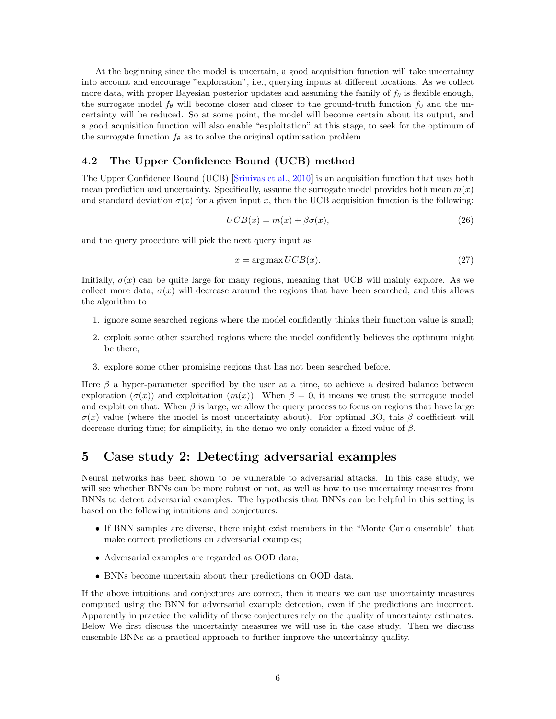At the beginning since the model is uncertain, a good acquisition function will take uncertainty into account and encourage "exploration", i.e., querying inputs at different locations. As we collect more data, with proper Bayesian posterior updates and assuming the family of  $f_\theta$  is flexible enough, the surrogate model  $f_{\theta}$  will become closer and closer to the ground-truth function  $f_0$  and the uncertainty will be reduced. So at some point, the model will become certain about its output, and a good acquisition function will also enable "exploitation" at this stage, to seek for the optimum of the surrogate function  $f_{\theta}$  as to solve the original optimisation problem.

### 4.2 The Upper Confidence Bound (UCB) method

The Upper Confidence Bound (UCB) [\[Srinivas et al.,](#page-8-4) [2010\]](#page-8-4) is an acquisition function that uses both mean prediction and uncertainty. Specifically, assume the surrogate model provides both mean  $m(x)$ and standard deviation  $\sigma(x)$  for a given input x, then the UCB acquisition function is the following:

$$
UCB(x) = m(x) + \beta \sigma(x),\tag{26}
$$

and the query procedure will pick the next query input as

$$
x = \arg\max UCB(x). \tag{27}
$$

Initially,  $\sigma(x)$  can be quite large for many regions, meaning that UCB will mainly explore. As we collect more data,  $\sigma(x)$  will decrease around the regions that have been searched, and this allows the algorithm to

- 1. ignore some searched regions where the model confidently thinks their function value is small;
- 2. exploit some other searched regions where the model confidently believes the optimum might be there;
- 3. explore some other promising regions that has not been searched before.

Here  $\beta$  a hyper-parameter specified by the user at a time, to achieve a desired balance between exploration  $(\sigma(x))$  and exploitation  $(m(x))$ . When  $\beta = 0$ , it means we trust the surrogate model and exploit on that. When  $\beta$  is large, we allow the query process to focus on regions that have large  $\sigma(x)$  value (where the model is most uncertainty about). For optimal BO, this β coefficient will decrease during time; for simplicity, in the demo we only consider a fixed value of  $\beta$ .

## 5 Case study 2: Detecting adversarial examples

Neural networks has been shown to be vulnerable to adversarial attacks. In this case study, we will see whether BNNs can be more robust or not, as well as how to use uncertainty measures from BNNs to detect adversarial examples. The hypothesis that BNNs can be helpful in this setting is based on the following intuitions and conjectures:

- If BNN samples are diverse, there might exist members in the "Monte Carlo ensemble" that make correct predictions on adversarial examples;
- Adversarial examples are regarded as OOD data;
- BNNs become uncertain about their predictions on OOD data.

If the above intuitions and conjectures are correct, then it means we can use uncertainty measures computed using the BNN for adversarial example detection, even if the predictions are incorrect. Apparently in practice the validity of these conjectures rely on the quality of uncertainty estimates. Below We first discuss the uncertainty measures we will use in the case study. Then we discuss ensemble BNNs as a practical approach to further improve the uncertainty quality.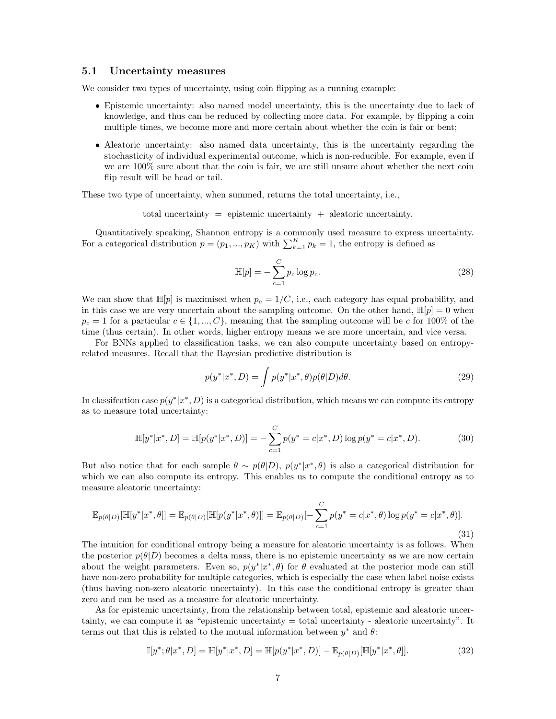#### 5.1 Uncertainty measures

We consider two types of uncertainty, using coin flipping as a running example:

- Epistemic uncertainty: also named model uncertainty, this is the uncertainty due to lack of knowledge, and thus can be reduced by collecting more data. For example, by flipping a coin multiple times, we become more and more certain about whether the coin is fair or bent;
- Aleatoric uncertainty: also named data uncertainty, this is the uncertainty regarding the stochasticity of individual experimental outcome, which is non-reducible. For example, even if we are 100% sure about that the coin is fair, we are still unsure about whether the next coin flip result will be head or tail.

These two type of uncertainty, when summed, returns the total uncertainty, i.e.,

total uncertainty  $=$  epistemic uncertainty  $+$  aleatoric uncertainty.

Quantitatively speaking, Shannon entropy is a commonly used measure to express uncertainty. For a categorical distribution  $p = (p_1, ..., p_K)$  with  $\sum_{k=1}^{K} p_k = 1$ , the entropy is defined as

$$
\mathbb{H}[p] = -\sum_{c=1}^{C} p_c \log p_c.
$$
\n(28)

We can show that  $\mathbb{H}[p]$  is maximised when  $p_c = 1/C$ , i.e., each category has equal probability, and in this case we are very uncertain about the sampling outcome. On the other hand,  $\mathbb{H}[p] = 0$  when  $p_c = 1$  for a particular  $c \in \{1, ..., C\}$ , meaning that the sampling outcome will be c for 100% of the time (thus certain). In other words, higher entropy means we are more uncertain, and vice versa.

For BNNs applied to classification tasks, we can also compute uncertainty based on entropyrelated measures. Recall that the Bayesian predictive distribution is

$$
p(y^*|x^*, D) = \int p(y^*|x^*, \theta)p(\theta|D)d\theta.
$$
\n(29)

In classification case  $p(y^*|x^*, D)$  is a categorical distribution, which means we can compute its entropy as to measure total uncertainty:

$$
\mathbb{H}[y^*|x^*,D] = \mathbb{H}[p(y^*|x^*,D)] = -\sum_{c=1}^C p(y^* = c|x^*,D) \log p(y^* = c|x^*,D). \tag{30}
$$

But also notice that for each sample  $\theta \sim p(\theta|D)$ ,  $p(y^*|x^*, \theta)$  is also a categorical distribution for which we can also compute its entropy. This enables us to compute the conditional entropy as to measure aleatoric uncertainty:

$$
\mathbb{E}_{p(\theta|D)}[\mathbb{H}[y^*|x^*,\theta]] = \mathbb{E}_{p(\theta|D)}[\mathbb{H}[p(y^*|x^*,\theta)]] = \mathbb{E}_{p(\theta|D)}[-\sum_{c=1}^C p(y^* = c|x^*,\theta)\log p(y^* = c|x^*,\theta)].
$$
\n(31)

The intuition for conditional entropy being a measure for aleatoric uncertainty is as follows. When the posterior  $p(\theta|D)$  becomes a delta mass, there is no epistemic uncertainty as we are now certain about the weight parameters. Even so,  $p(y^*|x^*, \theta)$  for  $\theta$  evaluated at the posterior mode can still have non-zero probability for multiple categories, which is especially the case when label noise exists (thus having non-zero aleatoric uncertainty). In this case the conditional entropy is greater than zero and can be used as a measure for aleatoric uncertainty.

As for epistemic uncertainty, from the relationship between total, epistemic and aleatoric uncertainty, we can compute it as "epistemic uncertainty = total uncertainty - aleatoric uncertainty". It terms out that this is related to the mutual information between  $y^*$  and  $\theta$ :

$$
\mathbb{I}[y^*; \theta | x^*, D] = \mathbb{H}[y^* | x^*, D] = \mathbb{H}[p(y^* | x^*, D)] - \mathbb{E}_{p(\theta | D)}[\mathbb{H}[y^* | x^*, \theta]].
$$
\n(32)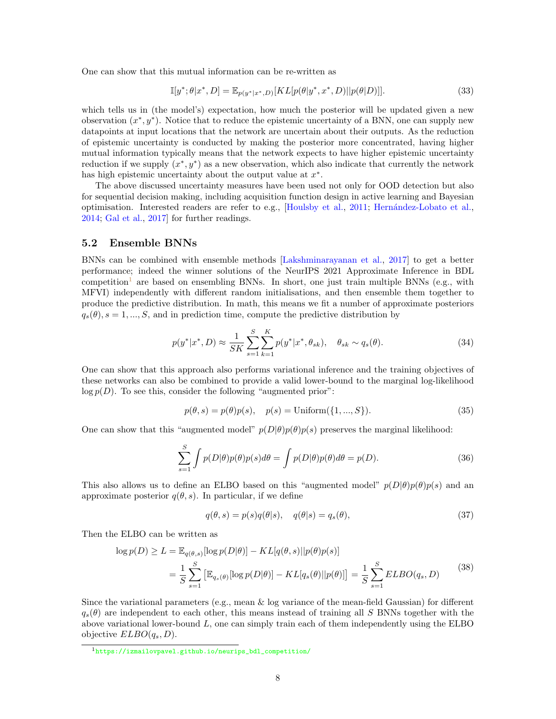One can show that this mutual information can be re-written as

$$
\mathbb{I}[y^*; \theta | x^*, D] = \mathbb{E}_{p(y^* | x^*, D)}[KL[p(\theta | y^*, x^*, D) || p(\theta | D)]].
$$
\n(33)

which tells us in (the model's) expectation, how much the posterior will be updated given a new observation  $(x^*, y^*)$ . Notice that to reduce the epistemic uncertainty of a BNN, one can supply new datapoints at input locations that the network are uncertain about their outputs. As the reduction of epistemic uncertainty is conducted by making the posterior more concentrated, having higher mutual information typically means that the network expects to have higher epistemic uncertainty reduction if we supply  $(x^*, y^*)$  as a new observation, which also indicate that currently the network has high epistemic uncertainty about the output value at  $x^*$ .

The above discussed uncertainty measures have been used not only for OOD detection but also for sequential decision making, including acquisition function design in active learning and Bayesian optimisation. Interested readers are refer to e.g., [\[Houlsby et al.,](#page-8-5) [2011;](#page-8-5) [Hern´andez-Lobato et al.,](#page-8-6) [2014;](#page-8-6) [Gal et al.,](#page-8-7) [2017\]](#page-8-7) for further readings.

#### 5.2 Ensemble BNNs

BNNs can be combined with ensemble methods [\[Lakshminarayanan et al.,](#page-8-8) [2017\]](#page-8-8) to get a better performance; indeed the winner solutions of the NeurIPS 2021 Approximate Inference in BDL competition<sup>[1](#page-7-0)</sup> are based on ensembling BNNs. In short, one just train multiple BNNs (e.g., with MFVI) independently with different random initialisations, and then ensemble them together to produce the predictive distribution. In math, this means we fit a number of approximate posteriors  $q_s(\theta), s = 1, ..., S$ , and in prediction time, compute the predictive distribution by

$$
p(y^*|x^*, D) \approx \frac{1}{SK} \sum_{s=1}^{S} \sum_{k=1}^{K} p(y^*|x^*, \theta_{sk}), \quad \theta_{sk} \sim q_s(\theta). \tag{34}
$$

One can show that this approach also performs variational inference and the training objectives of these networks can also be combined to provide a valid lower-bound to the marginal log-likelihood  $\log p(D)$ . To see this, consider the following "augmented prior":

$$
p(\theta, s) = p(\theta)p(s), \quad p(s) = \text{Uniform}(\{1, ..., S\}).
$$
\n(35)

One can show that this "augmented model"  $p(D|\theta)p(\theta)p(s)$  preserves the marginal likelihood:

$$
\sum_{s=1}^{S} \int p(D|\theta)p(\theta)p(s)d\theta = \int p(D|\theta)p(\theta)d\theta = p(D). \tag{36}
$$

This also allows us to define an ELBO based on this "augmented model"  $p(D|\theta)p(\theta)p(s)$  and an approximate posterior  $q(\theta, s)$ . In particular, if we define

$$
q(\theta, s) = p(s)q(\theta|s), \quad q(\theta|s) = q_s(\theta), \tag{37}
$$

Then the ELBO can be written as

$$
\log p(D) \ge L = \mathbb{E}_{q(\theta,s)}[\log p(D|\theta)] - KL[q(\theta,s)||p(\theta)p(s)]
$$
  
= 
$$
\frac{1}{S} \sum_{s=1}^{S} \left[ \mathbb{E}_{q_s(\theta)}[\log p(D|\theta)] - KL[q_s(\theta)||p(\theta)] \right] = \frac{1}{S} \sum_{s=1}^{S} ELBO(q_s, D)
$$
 (38)

Since the variational parameters (e.g., mean & log variance of the mean-field Gaussian) for different  $q_s(\theta)$  are independent to each other, this means instead of training all S BNNs together with the above variational lower-bound  $L$ , one can simply train each of them independently using the ELBO objective  $ELBO(q_s, D)$ .

<span id="page-7-0"></span> $1$ [https://izmailovpavel.github.io/neurips\\_bdl\\_competition/](https://izmailovpavel.github.io/neurips_bdl_competition/)